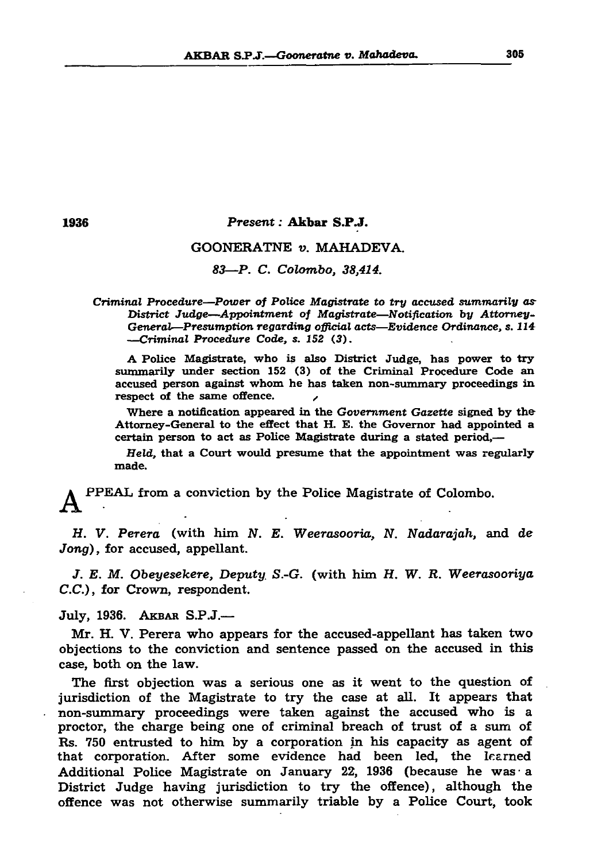#### AKBAR S.P.J.—Gooneratne v. Mahadeva. 305



1936 *Present:* Akbar S.P.J.

## GOONERATNE *v.* MAHADEVA.

*83*—*P. C. Colombo, 38,414.*

A Police Magistrate, who is also District Judge, has power to try summarily under section 152 (3) of the Criminal Procedure Code an accused person against whom he has taken non-summary proceedings in respect of the same offence.

*Criminal Procedure—Power of Police Magistrate to try accused summarily as District Judge—Appointment of Magistrate—Notification by Attorney-General—Presumption regarding official acts—Evidence Ordinance, s. 114 —Criminal Procedure Code, s. 152 (3).*

Where a notification appeared in the *Government Gazette* signed by the Attorney-General to the effect that H. E. the Governor had appointed a certain person to act as Police Magistrate during a stated period,—

Held, that a Court would presume that the appointment was regularly

made.

# PPEAL from a conviction by the Police Magistrate of Colombo.

H. V. *Perera* (with him *N. E. Weerasooria, N. Nadarajah,* and de *Jong),* for accused, appellant.

*J. E. M. Obeyesekere, Deputy S.-G.* (with him *H. W. R. Weerasooriya C.C.),* for Crown, respondent.

## July, 1936. AKBAR S.P.J.-

Mr. H. V. Perera who appears for the accused-appellant has taken two objections to the conviction and sentence passed on the accused in this case, both on the law.

The first objection was a serious one as it went to the question of

jurisdiction of the Magistrate to try the case at all. It appears that non-summary proceedings were taken against the accused who is a proctor, the charge being one of criminal breach of trust of a sum of Rs. 750 entrusted to him by a corporation in his capacity as agent of that corporation. After some evidence had been led, the learned Additional Police Magistrate on January 22, 1936 (because he was • a District Judge having jurisdiction to try the offence), although the offence was not otherwise summarily triable by a Police Court, took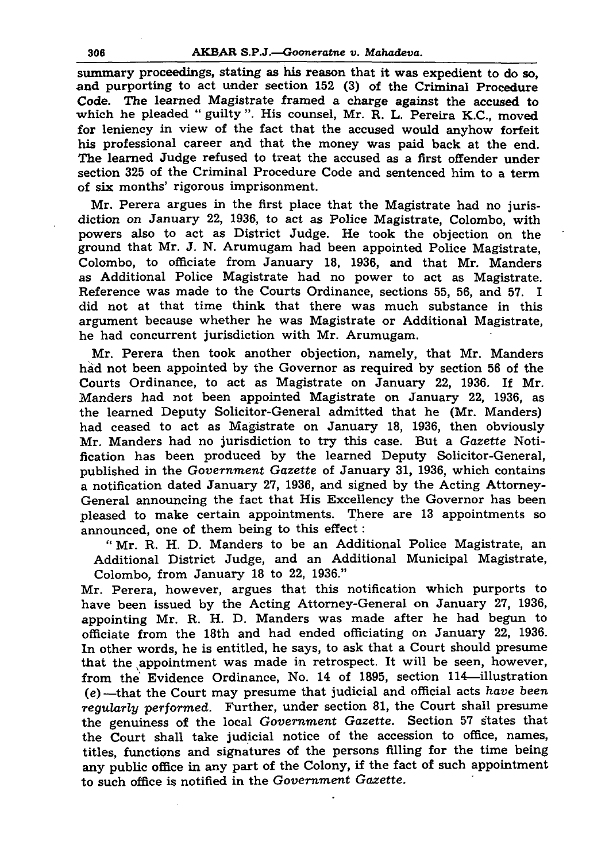## 306 AKBAR S.P.J*.—Gooneratne v. Mahadeva.*

summary proceedings, stating as his reason that it was expedient to do so, and purporting to act under section 152 (3) of the Criminal Procedure Code. The learned Magistrate framed a charge against the accused to which he pleaded " guilty ". His counsel, Mr. R. L. Pereira K.C., moved for leniency in view of the fact that the accused would anyhow forfeit his professional career and that the money was paid back at the end. The learned Judge refused to treat the accused as a first offender under section 325 of the Criminal Procedure Code and sentenced him to a term of six months' rigorous imprisonment.

Mr. Perera argues in the first place that the Magistrate had no jurisdiction on January 22, 1936, to act as Police Magistrate, Colombo, with powers also to act as District Judge. He took the objection on the ground that Mr. J. N. Arumugam had been appointed Police Magistrate, Colombo, to officiate from January 18, 1936, and that Mr. Manders as Additional Police Magistrate had no power to act as Magistrate. Reference was made to the Courts Ordinance, sections 55, 56, and 57. I did not at that time think that there was much substance in this argument because whether he was Magistrate or Additional Magistrate, he had concurrent jurisdiction with Mr. Arumugam.

Mr. Perera then took another objection, namely, that Mr. Manders had not been appointed by the Governor as required by section 56 of the Courts Ordinance, to act as Magistrate on January 22, 1936. If Mr. Manders had not been appointed Magistrate on January 22, 1936, as the learned Deputy Solicitor-General admitted that he (Mr. Manders) had ceased to act as Magistrate on January 18, 1936, then obviously Mr. Manders had no jurisdiction to try this case. But a *Gazette* Notification has been produced by the learned Deputy Solicitor-General, published in the *Government Gazette* of January 31, 1936, which contains a notification dated January 27, 1936, and signed by the Acting Attorney-General announcing the fact that His Excellency the Governor has been pleased to make certain appointments. There are 13 appointments so announced, one of them being to this effect:

" Mr. R. H. D. Manders to be an Additional Police Magistrate, an Additional District Judge, and an Additional Municipal Magistrate, Colombo, from January 18 to 22, 1936."

Mr. Perera, however, argues that this notification which purports to have been issued by the Acting Attorney-General on January 27, 1936, appointing Mr. R. H. D. Manders was made after he had begun to officiate from the 18th and had ended officiating on January 22, 1936. In other words, he is entitled, he says, to ask that a Court should presume that the appointment was made in retrospect. It will be seen, however, from the' Evidence Ordinance, No. 14 of 1895, section 114—illustration (e) —that the Court may presume that judicial and official acts *have been regularly performed.* Further, under section 81, the Court shall presume the genuiness of the local *Government Gazette.* Section 57 states that the Court shall take judicial notice of the accession to office, names, titles, functions and signatures of the persons filling for the time being any public office in any part of the Colony, if the fact of such appointment to such office is notified in the *Government Gazette.*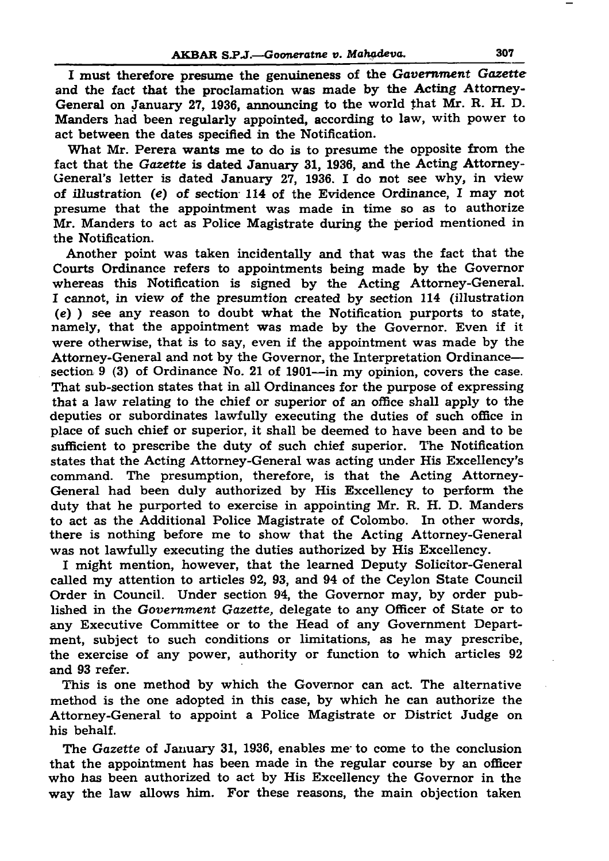## AKBAR S.P.J.—Gooneratne v. Mahadeva. 307

I must therefore presume the genuineness of the *Government Gazette* and the fact that the proclamation was made by the Acting Attorney-General on January 27, 1936, announcing to the world that Mr. R. H. D. Manders had been regularly appointed, according to law, with power to act between the dates specified in the Notification.

What Mr. Perera wants me to do is to presume the opposite from the fact that the *Gazette* is dated January 31, 1936, and the Acting Attorney-General's letter is dated January 27, 1936. I do not see why, in view of illustration (e) of section 114 of the Evidence Ordinance, I may not presume that the appointment was made in time so as to authorize Mr. Manders to act as Police Magistrate during the period mentioned in

the Notification.

Another point was taken incidentally and that was the fact that the Courts Ordinance refers to appointments being made by the Governor whereas this Notification is signed by the Acting Attorney-General. I cannot, in view of the presumtion created by section 114 (illustration (e) ) see any reason to doubt what the Notification purports to state, namely, that the appointment was made by the Governor. Even if it were otherwise, that is to say, even if the appointment was made by the Attorney-General and not by the Governor, the Interpretation Ordinance section 9 (3) of Ordinance No. 21 of 1901—in my opinion, covers the case. That sub-section states that in all Ordinances for the purpose of expressing that a law relating to the chief or superior of an office shall apply to the deputies or subordinates lawfully executing the duties of such office in place of such chief or superior, it shall be deemed to have been and to be sufficient to prescribe the duty of such chief superior. The Notification states that the Acting Attorney-General was acting under His Excellency's command. The presumption, therefore, is that the Acting Attorney-General had been duly authorized by His Excellency to perform the duty that he purported to exercise in appointing Mr. R. H. D. Manders to act as the Additional Police Magistrate of Colombo. In other words, there is nothing before me to show that the Acting Attorney-General was not lawfully executing the duties authorized by His Excellency. I might mention, however, that the learned Deputy Solicitor-General called my attention to articles 92, 93, and 94 of the Ceylon State Council Order in Council. Under section 94, the Governor may, by order published in the *Government Gazette,* delegate to any Officer of State or to any Executive Committee or to the Head of any Government Department, subject to such conditions or limitations, as he may prescribe, the exercise of any power, authority or function to which articles 92 and 93 refer.

This is one method by which the Governor can act. The alternative

method is the one adopted in this case, by which he can authorize the Attorney-General to appoint a Police Magistrate or District Judge on his behalf.

The *Gazette* of January 31, 1936, enables me- to come to the conclusion that the appointment has been made in the regular course by an officer who has been authorized to act by His Excellency the Governor in the way the law allows him. For these reasons, the main objection taken